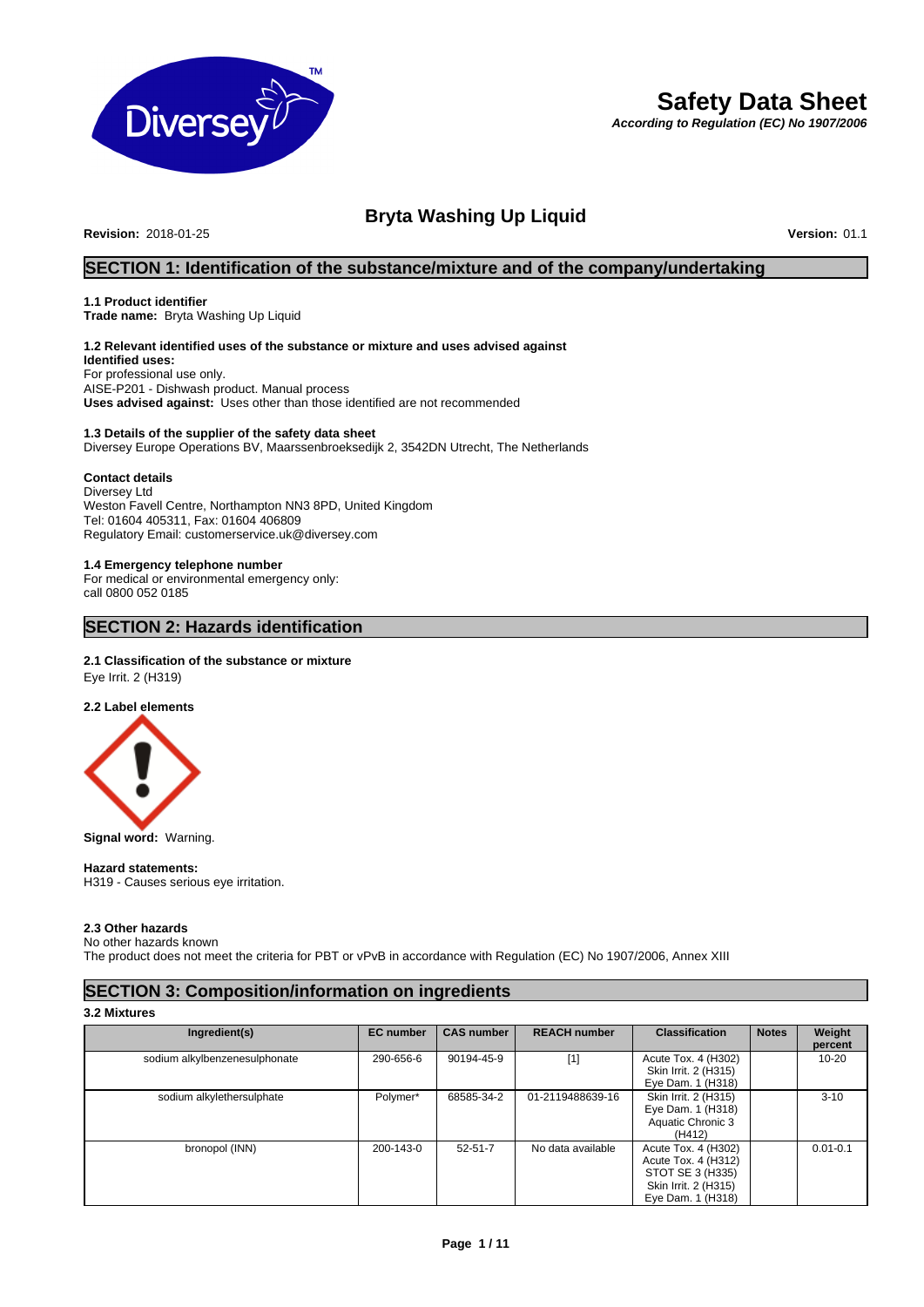

# **Safety Data Sheet**

*According to Regulation (EC) No 1907/2006*

# **Bryta Washing Up Liquid**

**Revision: 2018-01-25** 

# **SECTION 1: Identification of the substance/mixture and of the company/undertaking**

# **1.1 Product identifier**

**Trade name:** Bryta Washing Up Liquid

# **1.2 Relevant identified uses of the substance or mixture and uses advised against**

**Identified uses:** For professional use only. AISE-P201 - Dishwash product. Manual process **Uses advised against:** Uses other than those identified are not recommended

# **1.3 Details of the supplier of the safety data sheet** Diversey Europe Operations BV, Maarssenbroeksedijk 2, 3542DN Utrecht, The Netherlands

# **Contact details**

Diversey Ltd Weston Favell Centre, Northampton NN3 8PD, United Kingdom Tel: 01604 405311, Fax: 01604 406809 Regulatory Email: customerservice.uk@diversey.com

# **1.4 Emergency telephone number**

For medical or environmental emergency only: call 0800 052 0185

# **SECTION 2: Hazards identification**

# **2.1 Classification of the substance or mixture**

Eye Irrit. 2 (H319)

**2.2 Label elements**



**Signal word:** Warning.

#### **Hazard statements:**  H319 - Causes serious eye irritation.

# **2.3 Other hazards**

No other hazards known

The product does not meet the criteria for PBT or vPvB in accordance with Regulation (EC) No 1907/2006, Annex XIII

# **SECTION 3: Composition/information on ingredients**

**3.2 Mixtures**

| Ingredient(s)                 | <b>EC</b> number | <b>CAS number</b> | <b>REACH number</b> | <b>Classification</b> | <b>Notes</b> | Weight               |
|-------------------------------|------------------|-------------------|---------------------|-----------------------|--------------|----------------------|
| sodium alkylbenzenesulphonate | 290-656-6        | 90194-45-9        | [1]                 | Acute Tox. 4 (H302)   |              | percent<br>$10 - 20$ |
|                               |                  |                   |                     | Skin Irrit. 2 (H315)  |              |                      |
|                               |                  |                   |                     | Eye Dam. 1 (H318)     |              |                      |
| sodium alkylethersulphate     | Polymer*         | 68585-34-2        | 01-2119488639-16    | Skin Irrit. 2 (H315)  |              | $3 - 10$             |
|                               |                  |                   |                     | Eye Dam. 1 (H318)     |              |                      |
|                               |                  |                   |                     | Aquatic Chronic 3     |              |                      |
|                               |                  |                   |                     | (H412)                |              |                      |
| bronopol (INN)                | 200-143-0        | $52 - 51 - 7$     | No data available   | Acute Tox. 4 (H302)   |              | $0.01 - 0.1$         |
|                               |                  |                   |                     | Acute Tox. 4 (H312)   |              |                      |
|                               |                  |                   |                     | STOT SE 3 (H335)      |              |                      |
|                               |                  |                   |                     | Skin Irrit. 2 (H315)  |              |                      |
|                               |                  |                   |                     | Eye Dam. 1 (H318)     |              |                      |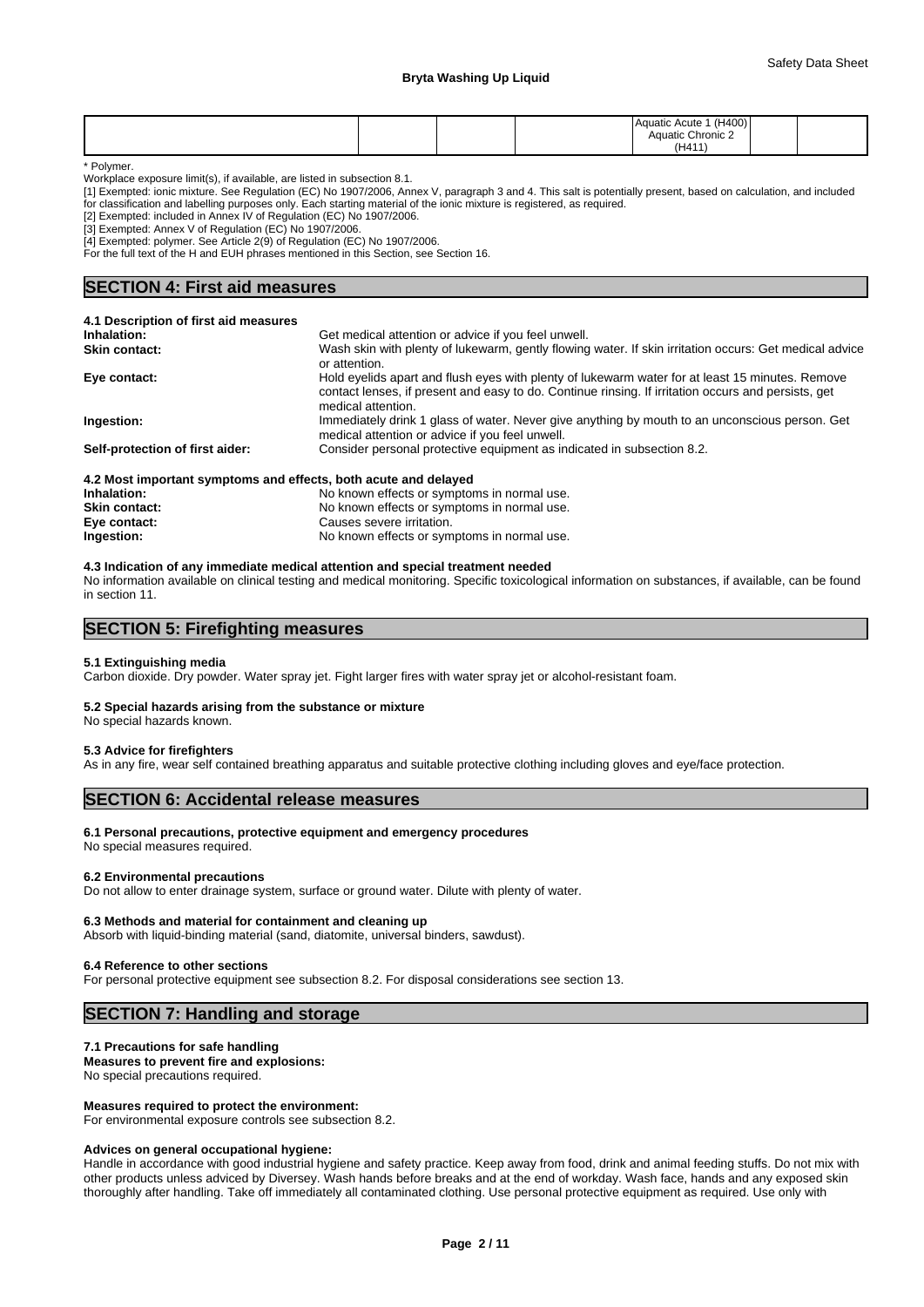# **Bryta Washing Up Liquid**

|  |  | (H400)<br><b>Aquatic Acute</b><br>Aquatic Chronic 2 |  |
|--|--|-----------------------------------------------------|--|
|  |  | (H411)                                              |  |

\* Polymer.

Workplace exposure limit(s), if available, are listed in subsection 8.1.

[1] Exempted: ionic mixture. See Regulation (EC) No 1907/2006, Annex V, paragraph 3 and 4. This salt is potentially present, based on calculation, and included for classification and labelling purposes only. Each starting material of the ionic mixture is registered, as required.

[2] Exempted: included in Annex IV of Regulation (EC) No 1907/2006.

[3] Exempted: Annex V of Regulation (EC) No 1907/2006.

[4] Exempted: polymer. See Article 2(9) of Regulation (EC) No 1907/2006.

For the full text of the H and EUH phrases mentioned in this Section, see Section 16.

# **SECTION 4: First aid measures**

| 4.1 Description of first aid measures                           |                                                                                                                                                                                                                              |
|-----------------------------------------------------------------|------------------------------------------------------------------------------------------------------------------------------------------------------------------------------------------------------------------------------|
| Inhalation:                                                     | Get medical attention or advice if you feel unwell.                                                                                                                                                                          |
| <b>Skin contact:</b>                                            | Wash skin with plenty of lukewarm, gently flowing water. If skin irritation occurs: Get medical advice<br>or attention.                                                                                                      |
| Eye contact:                                                    | Hold eyelids apart and flush eyes with plenty of lukewarm water for at least 15 minutes. Remove<br>contact lenses, if present and easy to do. Continue rinsing. If irritation occurs and persists, get<br>medical attention. |
| Ingestion:                                                      | Immediately drink 1 glass of water. Never give anything by mouth to an unconscious person. Get<br>medical attention or advice if you feel unwell.                                                                            |
| Self-protection of first aider:                                 | Consider personal protective equipment as indicated in subsection 8.2.                                                                                                                                                       |
| 4.2 Most important symptoms and effects, both acute and delayed |                                                                                                                                                                                                                              |
| Inhalation:                                                     | No known effects or symptoms in normal use.                                                                                                                                                                                  |

# **4.3 Indication of any immediate medical attention and special treatment needed**

**Skin contact:** The Skin contact:<br>  $\frac{1}{2}$  Causes severe irritation.<br>
Causes severe irritation.

No information available on clinical testing and medical monitoring. Specific toxicological information on substances, if available, can be found in section 11.

**Ingestion:** No known effects or symptoms in normal use.

# **SECTION 5: Firefighting measures**

# **5.1 Extinguishing media**

Carbon dioxide. Dry powder. Water spray jet. Fight larger fires with water spray jet or alcohol-resistant foam.

# **5.2 Special hazards arising from the substance or mixture**

**Eye contact:** Causes severe irritation.<br> **Ingestion:** Causes Severe irritation.

No special hazards known.

#### **5.3 Advice for firefighters**

As in any fire, wear self contained breathing apparatus and suitable protective clothing including gloves and eye/face protection.

# **SECTION 6: Accidental release measures**

#### **6.1 Personal precautions, protective equipment and emergency procedures**

No special measures required.

### **6.2 Environmental precautions**

Do not allow to enter drainage system, surface or ground water. Dilute with plenty of water.

#### **6.3 Methods and material for containment and cleaning up**

Absorb with liquid-binding material (sand, diatomite, universal binders, sawdust).

#### **6.4 Reference to other sections**

For personal protective equipment see subsection 8.2. For disposal considerations see section 13.

# **SECTION 7: Handling and storage**

#### **7.1 Precautions for safe handling**

**Measures to prevent fire and explosions:** No special precautions required.

# **Measures required to protect the environment:**

For environmental exposure controls see subsection 8.2.

#### **Advices on general occupational hygiene:**

Handle in accordance with good industrial hygiene and safety practice. Keep away from food, drink and animal feeding stuffs. Do not mix with other products unless adviced by Diversey. Wash hands before breaks and at the end of workday. Wash face, hands and any exposed skin thoroughly after handling. Take off immediately all contaminated clothing. Use personal protective equipment as required. Use only with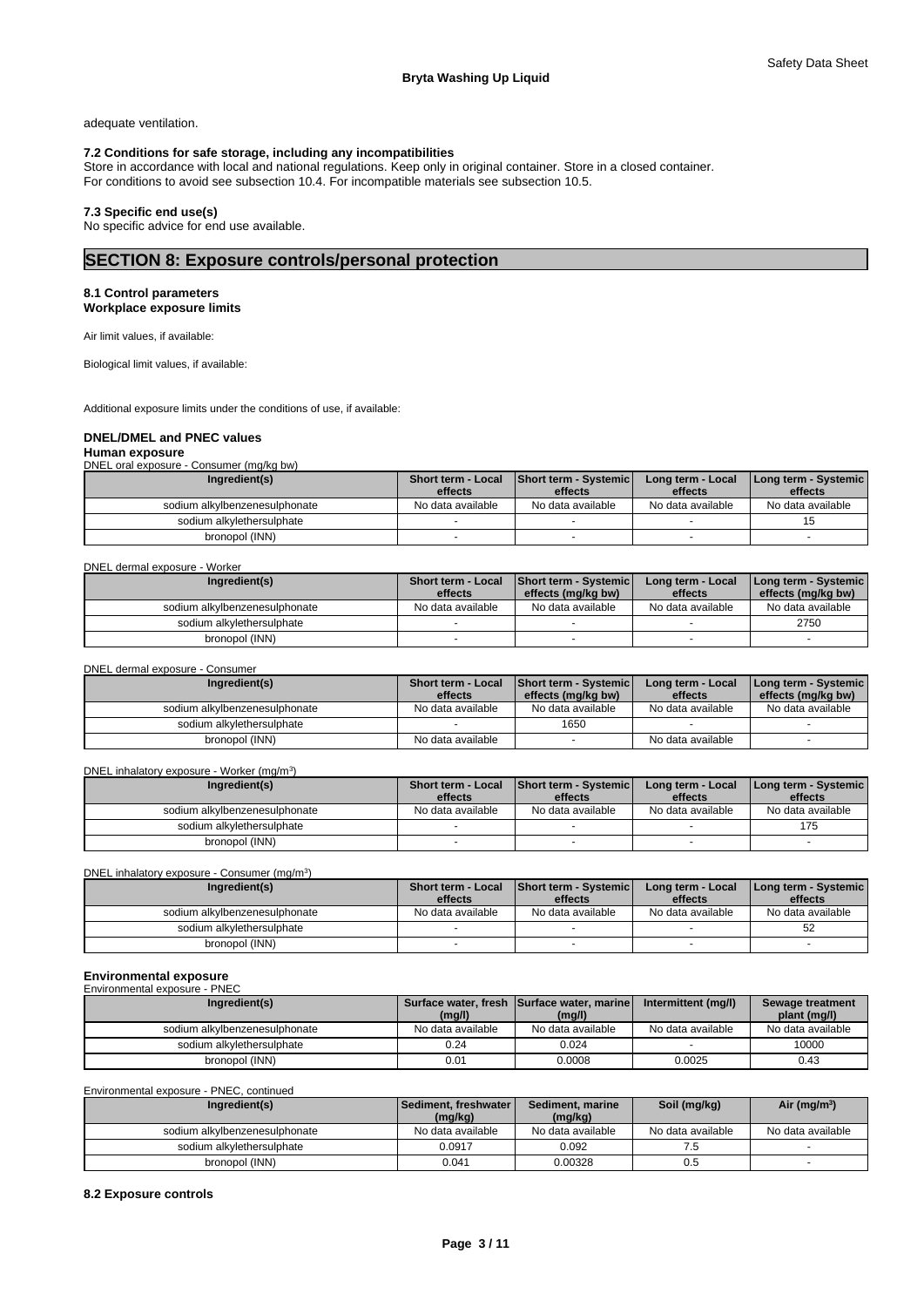adequate ventilation.

# **7.2 Conditions for safe storage, including any incompatibilities**

Store in accordance with local and national regulations. Keep only in original container. Store in a closed container. For conditions to avoid see subsection 10.4. For incompatible materials see subsection 10.5.

# **7.3 Specific end use(s)**

No specific advice for end use available.

# **SECTION 8: Exposure controls/personal protection**

#### **8.1 Control parameters Workplace exposure limits**

Air limit values, if available:

Biological limit values, if available:

Additional exposure limits under the conditions of use, if available:

# **DNEL/DMEL and PNEC values**

#### **Human exposure** DNEL oral exposure - Consumer (mg/kg bw)

| <b>PITLE VIDI UNDUUIU</b><br>$\frac{1}{2}$ |                           |                               |                   |                      |
|--------------------------------------------|---------------------------|-------------------------------|-------------------|----------------------|
| Ingredient(s)                              | <b>Short term - Local</b> | <b>Short term - Systemicl</b> | Long term - Local | Long term - Systemic |
|                                            | effects                   | effects                       | effects           | effects              |
| sodium alkylbenzenesulphonate              | No data available         | No data available             | No data available | No data available    |
| sodium alkylethersulphate                  |                           |                               |                   |                      |
| bronopol (INN)                             |                           |                               |                   |                      |

#### DNEL dermal exposure - Worker

| Ingredient(s)                 | <b>Short term - Local</b> | Short term - Systemic | Long term - Local | [Long term - Systemic] |
|-------------------------------|---------------------------|-----------------------|-------------------|------------------------|
|                               | effects                   | effects (mg/kg bw)    | effects           | effects (mg/kg bw)     |
| sodium alkylbenzenesulphonate | No data available         | No data available     | No data available | No data available      |
| sodium alkylethersulphate     |                           |                       |                   | 2750                   |
| bronopol (INN)                |                           |                       |                   |                        |

DNEL dermal exposure - Consumer

| Ingredient(s)                 | <b>Short term - Local</b><br>effects | Short term - Systemic<br>effects (mg/kg bw) | Long term - Local<br>effects | [Long term - Systemic]<br>effects (mg/kg bw) |
|-------------------------------|--------------------------------------|---------------------------------------------|------------------------------|----------------------------------------------|
| sodium alkylbenzenesulphonate | No data available                    | No data available                           | No data available            | No data available                            |
| sodium alkylethersulphate     |                                      | 1650                                        |                              |                                              |
| bronopol (INN)                | No data available                    |                                             | No data available            |                                              |

#### DNEL inhalatory exposure - Worker (mg/m<sup>3</sup>) ) and  $\overline{\phantom{a}}$

| Ingredient(s)                 | Short term - Local | Short term - Systemic | Long term - Local | I Long term - Systemic I |
|-------------------------------|--------------------|-----------------------|-------------------|--------------------------|
|                               | effects            | effects               | effects           | effects                  |
| sodium alkylbenzenesulphonate | No data available  | No data available     | No data available | No data available        |
| sodium alkvlethersulphate     |                    |                       |                   | 175                      |
| bronopol (INN)                |                    |                       |                   |                          |

DNEL inhalatory exposure - Consumer (mg/m<sup>3</sup>)

| DNEL inhalatory exposure - Consumer (mg/m <sup>3</sup> ) |                                      |                                  |                              |                                 |
|----------------------------------------------------------|--------------------------------------|----------------------------------|------------------------------|---------------------------------|
| Ingredient(s)                                            | <b>Short term - Local</b><br>effects | Short term - Systemic<br>effects | Long term - Local<br>effects | Long term - Systemic<br>effects |
| sodium alkylbenzenesulphonate                            | No data available                    | No data available                | No data available            | No data available               |
| sodium alkvlethersulphate                                |                                      |                                  |                              | -52                             |
| bronopol (INN)                                           |                                      |                                  |                              |                                 |

# **Environmental exposure**

| Environmental exposure - PNEC |                   |                                            |                     |                   |
|-------------------------------|-------------------|--------------------------------------------|---------------------|-------------------|
| Ingredient(s)                 |                   | Surface water, fresh Surface water, marine | Intermittent (mg/l) | Sewage treatment  |
|                               | (mg/l)            | (mq/l)                                     |                     | plant (mg/l)      |
| sodium alkylbenzenesulphonate | No data available | No data available                          | No data available   | No data available |
| sodium alkylethersulphate     | 0.24              | 0.024                                      |                     | 10000             |
| bronopol (INN)                | 0.01              | 0.0008                                     | 0.0025              | 0.43              |

#### Environmental exposure - PNEC, continued

| Ingredient(s)                 | <b>Sediment, freshwater I</b><br>(mg/kg) | Sediment, marine<br>(mg/kg) | Soil (mg/kg)      | Air ( $mg/m3$ )   |
|-------------------------------|------------------------------------------|-----------------------------|-------------------|-------------------|
| sodium alkylbenzenesulphonate | No data available                        | No data available           | No data available | No data available |
| sodium alkylethersulphate     | 0.0917                                   | 0.092                       | ن. ا              |                   |
| bronopol (INN)                | 0.041                                    | 0.00328                     | 0.5               |                   |

# **8.2 Exposure controls**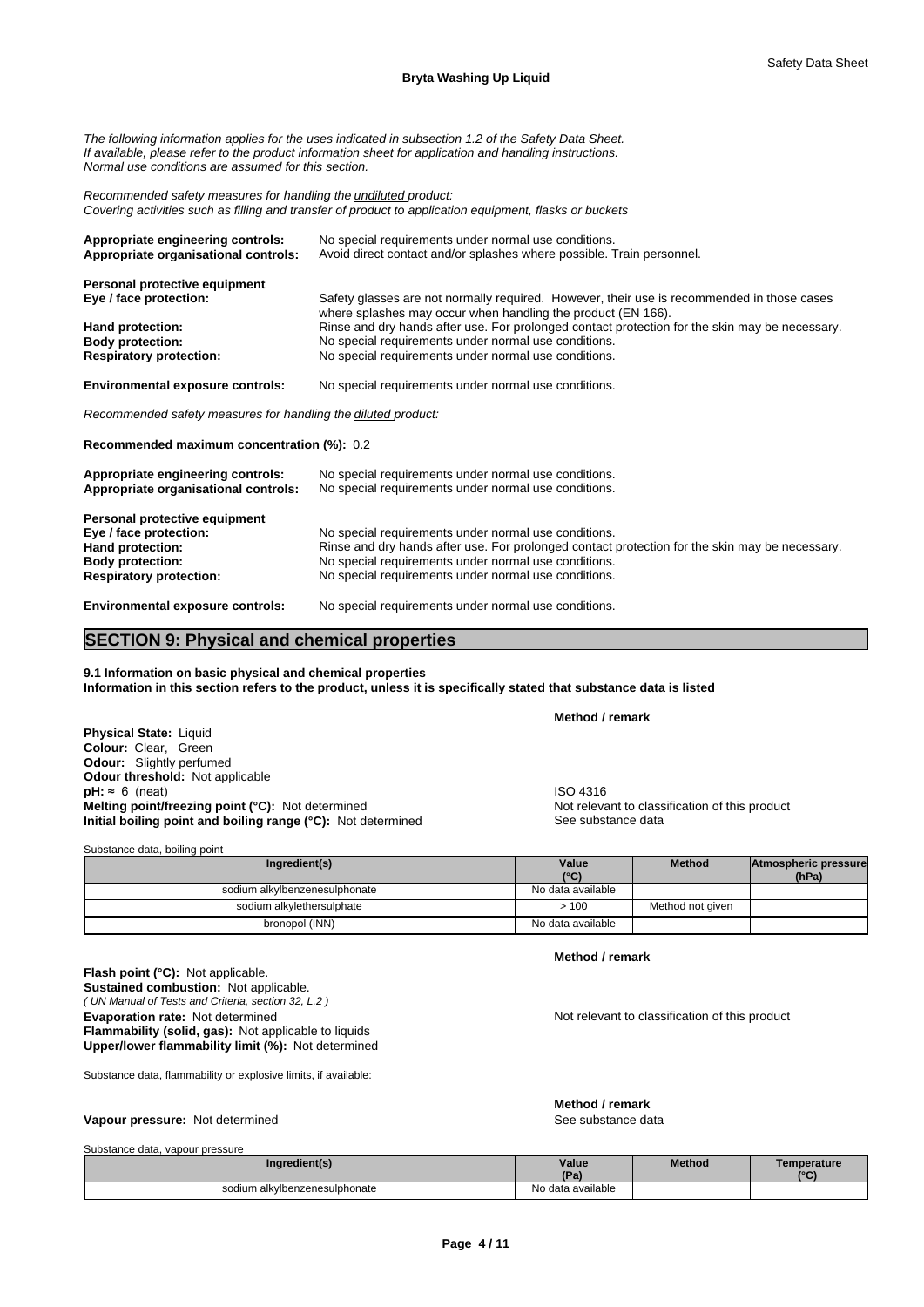*The following information applies for the uses indicated in subsection 1.2 of the Safety Data Sheet. If available, please refer to the product information sheet for application and handling instructions. Normal use conditions are assumed for this section.*

*Recommended safety measures for handling the undiluted product: Covering activities such as filling and transfer of product to application equipment, flasks or buckets*

| Appropriate engineering controls:<br>Appropriate organisational controls: | No special requirements under normal use conditions.<br>Avoid direct contact and/or splashes where possible. Train personnel.                              |
|---------------------------------------------------------------------------|------------------------------------------------------------------------------------------------------------------------------------------------------------|
| Personal protective equipment                                             |                                                                                                                                                            |
| Eye / face protection:                                                    | Safety glasses are not normally required. However, their use is recommended in those cases<br>where splashes may occur when handling the product (EN 166). |
| Hand protection:                                                          | Rinse and dry hands after use. For prolonged contact protection for the skin may be necessary.                                                             |
| <b>Body protection:</b>                                                   | No special requirements under normal use conditions.                                                                                                       |
| <b>Respiratory protection:</b>                                            | No special requirements under normal use conditions.                                                                                                       |
| <b>Environmental exposure controls:</b>                                   | No special requirements under normal use conditions.                                                                                                       |
| Recommended safety measures for handling the diluted product:             |                                                                                                                                                            |

**Recommended maximum concentration (%):** 0.2

| Appropriate engineering controls:<br>Appropriate organisational controls: | No special requirements under normal use conditions.<br>No special requirements under normal use conditions. |  |  |  |  |
|---------------------------------------------------------------------------|--------------------------------------------------------------------------------------------------------------|--|--|--|--|
| Personal protective equipment                                             |                                                                                                              |  |  |  |  |
| Eye / face protection:                                                    | No special requirements under normal use conditions.                                                         |  |  |  |  |
| Hand protection:                                                          | Rinse and dry hands after use. For prolonged contact protection for the skin may be necessary.               |  |  |  |  |
| <b>Body protection:</b>                                                   | No special requirements under normal use conditions.                                                         |  |  |  |  |
| <b>Respiratory protection:</b>                                            | No special requirements under normal use conditions.                                                         |  |  |  |  |
| For the company of the company of the contract of                         | Ala ana alah na muluwengan mana mana mana luungi ana ditingan                                                |  |  |  |  |

**Environmental exposure controls:** No special requirements under normal use conditions.

# **SECTION 9: Physical and chemical properties**

**9.1 Information on basic physical and chemical properties Information in this section refers to the product, unless it is specifically stated that substance data is listed**

**Physical State:** Liquid **Colour:** Clear, Green **Odour:** Slightly perfumed **Odour threshold:** Not applicable **pH:** ≈ 6 (neat)<br> **Melting point/freezing point (°C):** Not determined<br> **Melting point/freezing point (°C):** Not determined<br> **Melting point/freezing point (°C):** Not determined **Melting point/freezing point (°C):** Not determined **Initial boiling point and boiling range (°C):** Not determined See substance data

| Substance data, boiling point |                   |                  |                      |
|-------------------------------|-------------------|------------------|----------------------|
| Ingredient(s)                 | Value             | <b>Method</b>    | Atmospheric pressure |
|                               | $(^{\circ}C)$     |                  | (hPa)                |
| sodium alkylbenzenesulphonate | No data available |                  |                      |
| sodium alkylethersulphate     | >100              | Method not given |                      |
| bronopol (INN)                | No data available |                  |                      |

**Method / remark**

**Method / remark**

**Evaporation rate:** Not determined **Notification of this product** Not relevant to classification of this product

**Flammability (solid, gas):** Not applicable to liquids **Upper/lower flammability limit (%):** Not determined

*( UN Manual of Tests and Criteria, section 32, L.2 )*

Substance data, flammability or explosive limits, if available:

# **Vapour pressure:** Not determined See substance data

**Flash point (°C):** Not applicable. **Sustained combustion:** Not applicable.

**Method / remark**

# Substance data, vapour pressure

| Ingredient(s)                 | Value             | <b>Method</b> | Temperature |
|-------------------------------|-------------------|---------------|-------------|
|                               | ID <sub>n</sub>   |               | $\sim$      |
| sodium alkylbenzenesulphonate | No data available |               |             |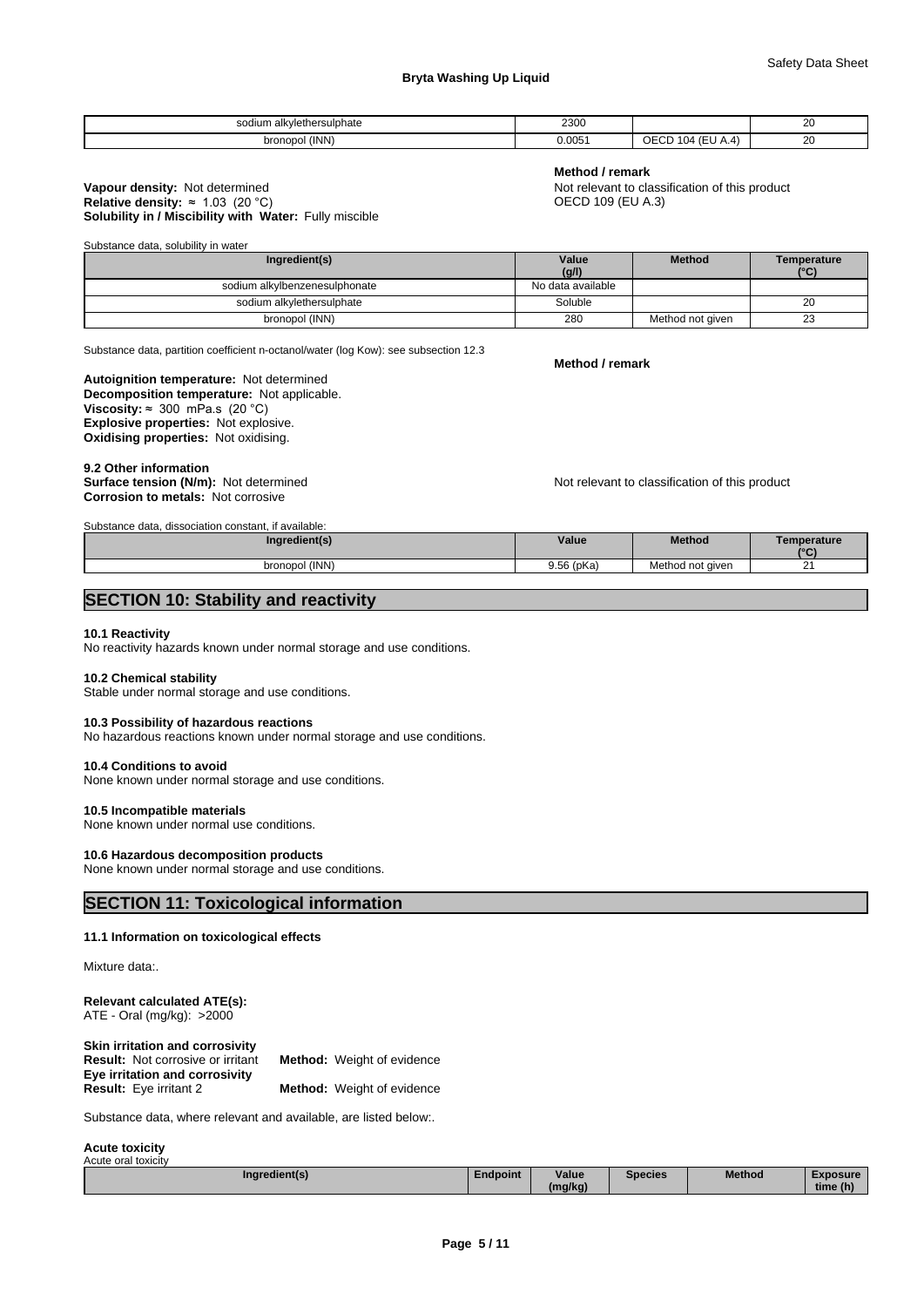# **Bryta Washing Up Liquid**

| alkvlethersu<br>$\sim$<br>ılphate<br>sodium a | ∩מכפ<br>∠∪∪ຟ         |                  | oc<br>∠∪           |
|-----------------------------------------------|----------------------|------------------|--------------------|
| (INN)<br>bronopo                              | $0.005^{\circ}$<br>. | ∽<br>u<br>$\sim$ | n,<br>∠∪<br>$\sim$ |

# **Method / remark**

**Solubility in / Miscibility with Water:** Fully miscible **Vapour density:** Not determined **Not relevant to classification of this product**<br> **Relative density:** ≈ 1.03 (20 °C) **Not relative density:** ≈ 1.03 (20 °C) **Note Not relative density:** ≈ 1.03 (20 °C) **Relative density:**  $\approx 1.03$  **(20 °C)** 

Substance data, solubility in water

| Ingredient(s)                 | Value             | <b>Method</b>    | <b>Temperature</b> |
|-------------------------------|-------------------|------------------|--------------------|
|                               | (g/l)             |                  | 10(1)              |
| sodium alkylbenzenesulphonate | No data available |                  |                    |
| sodium alkylethersulphate     | Soluble           |                  | 20                 |
| bronopol (INN)                | 280               | Method not given | $\sim$<br>د∠       |

Substance data, partition coefficient n-octanol/water (log Kow): see subsection 12.3

**Decomposition temperature:** Not applicable. **Autoignition temperature:** Not determined **Viscosity:**  $\approx$  300 mPa.s (20 °C) **Explosive properties:** Not explosive. **Oxidising properties:** Not oxidising.

9.2 Other information<br>Surface tension (N/m): Not determined **Corrosion to metals:** Not corrosive

Substance data, dissociation constant, if available:

Not relevant to classification of this product

| <u>Supstance Gata, Gissociation constant. Il available,</u> |            |                  |                 |
|-------------------------------------------------------------|------------|------------------|-----------------|
| Ingredient(s)                                               | Value      | <b>Method</b>    | emperature      |
|                                                             |            |                  | 10 <sup>o</sup> |
| bronopol (INN)                                              | 9.56 (pKa) | Method not given | ົ<br><u>.</u>   |

# **SECTION 10: Stability and reactivity**

#### **10.1 Reactivity**

No reactivity hazards known under normal storage and use conditions.

#### **10.2 Chemical stability**

Stable under normal storage and use conditions.

# **10.3 Possibility of hazardous reactions**

No hazardous reactions known under normal storage and use conditions.

# **10.4 Conditions to avoid**

None known under normal storage and use conditions.

### **10.5 Incompatible materials**

None known under normal use conditions.

### **10.6 Hazardous decomposition products**

None known under normal storage and use conditions.

# **SECTION 11: Toxicological information**

#### **11.1 Information on toxicological effects**

Mixture data:.

#### **Relevant calculated ATE(s):** ATE - Oral (mg/kg): >2000

| Skin irritation and corrosivity          |                                   |
|------------------------------------------|-----------------------------------|
| <b>Result:</b> Not corrosive or irritant | <b>Method:</b> Weight of evidence |
| Eye irritation and corrosivity           |                                   |
| <b>Result:</b> Eye irritant 2            | <b>Method:</b> Weight of evidence |

Substance data, where relevant and available, are listed below:.

**Acute toxicity** Acute oral toxicity

| Ingredient(s)<br>$\sim$ | Endpoint | <b>Value</b> | Species | <b>Method</b> | <b>Exposure</b>          |
|-------------------------|----------|--------------|---------|---------------|--------------------------|
|                         |          | <br>(mg/kg)  |         |               | $\mathbf{r}$<br>time (h) |

**Method / remark**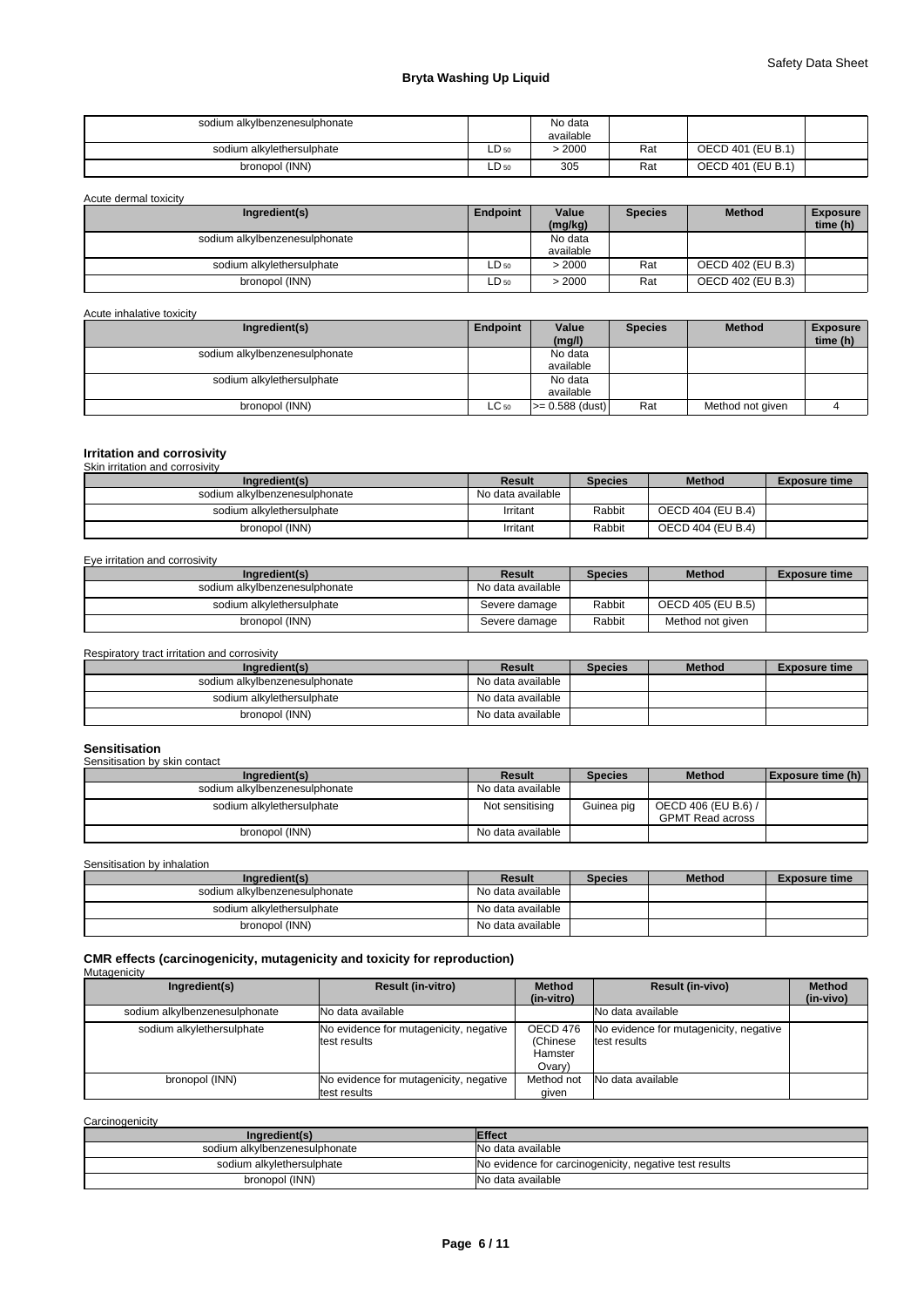# **Bryta Washing Up Liquid**

| sodium alkylbenzenesulphonate |       | No data<br>available |     |                   |  |
|-------------------------------|-------|----------------------|-----|-------------------|--|
| sodium alkylethersulphate     | LD 50 | > 2000               | Rat | OECD 401 (EU B.1) |  |
| bronopol (INN)                | LD 50 | 305                  | Rat | OECD 401 (EU B.1) |  |

Acute dermal toxicity

| Ingredient(s)                 | Endpoint         | Value     | <b>Species</b> | <b>Method</b>     | <b>Exposure</b> |
|-------------------------------|------------------|-----------|----------------|-------------------|-----------------|
|                               |                  | (mg/kg)   |                |                   | time (h)        |
| sodium alkylbenzenesulphonate |                  | No data   |                |                   |                 |
|                               |                  | available |                |                   |                 |
| sodium alkylethersulphate     | $LD_{50}$        | >2000     | Rat            | OECD 402 (EU B.3) |                 |
| bronopol (INN)                | LD <sub>50</sub> | > 2000    | Rat            | OECD 402 (EU B.3) |                 |

# Acute inhalative toxicity

| Ingredient(s)                 | Endpoint  | Value             | <b>Species</b> | <b>Method</b>    | <b>Exposure</b> |
|-------------------------------|-----------|-------------------|----------------|------------------|-----------------|
|                               |           | (mg/l)            |                |                  | time (h)        |
| sodium alkylbenzenesulphonate |           | No data           |                |                  |                 |
|                               |           | available         |                |                  |                 |
| sodium alkylethersulphate     |           | No data           |                |                  |                 |
|                               |           | available         |                |                  |                 |
| bronopol (INN)                | $LC_{50}$ | $>= 0.588$ (dust) | Rat            | Method not given |                 |

# **Irritation and corrosivity** Skin irritation and corrosivity

| Ingredient(s)                 | Result            | <b>Species</b> | <b>Method</b>     | <b>Exposure time</b> |
|-------------------------------|-------------------|----------------|-------------------|----------------------|
| sodium alkylbenzenesulphonate | No data available |                |                   |                      |
| sodium alkylethersulphate     | Irritant          | Rabbit         | OECD 404 (EU B.4) |                      |
| bronopol (INN)                | Irritant          | Rabbit         | OECD 404 (EU B.4) |                      |

#### Eye irritation and corrosivity

| Ingredient(s)                 | Result            | <b>Species</b> | <b>Method</b>     | <b>Exposure time</b> |
|-------------------------------|-------------------|----------------|-------------------|----------------------|
| sodium alkylbenzenesulphonate | No data available |                |                   |                      |
| sodium alkylethersulphate     | Severe damage     | Rabbit         | OECD 405 (EU B.5) |                      |
| bronopol (INN)                | Severe damage     | Rabbit         | Method not given  |                      |

# Respiratory tract irritation and corrosivity

| Ingredient(s)                 | Result            | Species | <b>Method</b> | <b>Exposure time</b> |
|-------------------------------|-------------------|---------|---------------|----------------------|
| sodium alkylbenzenesulphonate | No data available |         |               |                      |
| sodium alkvlethersulphate     | No data available |         |               |                      |
| bronopol (INN)                | No data available |         |               |                      |

# **Sensitisation**

|                     | <b>Exposure time (h)</b> |
|---------------------|--------------------------|
|                     |                          |
| OECD 406 (EU B.6) / |                          |
| GPMT Read across    |                          |
|                     |                          |
|                     | <b>Method</b>            |

Sensitisation by inhalation

| Ingredient(s)                 | Result            | <b>Species</b> | <b>Method</b> | <b>Exposure time</b> |
|-------------------------------|-------------------|----------------|---------------|----------------------|
| sodium alkylbenzenesulphonate | No data available |                |               |                      |
| sodium alkvlethersulphate     | No data available |                |               |                      |
| bronopol (INN)                | No data available |                |               |                      |

#### **CMR effects (carcinogenicity, mutagenicity and toxicity for reproduction)** Mutagenicity

| ____<br>Ingredient(s)         | <b>Result (in-vitro)</b>                                | <b>Method</b><br>(in-vitro)               | <b>Result (in-vivo)</b>                                | <b>Method</b><br>(in-vivo) |
|-------------------------------|---------------------------------------------------------|-------------------------------------------|--------------------------------------------------------|----------------------------|
| sodium alkylbenzenesulphonate | <b>INo data available</b>                               |                                           | No data available                                      |                            |
| sodium alkylethersulphate     | No evidence for mutagenicity, negative<br>test results  | OECD 476<br>(Chinese<br>Hamster<br>Ovary) | No evidence for mutagenicity, negative<br>test results |                            |
| bronopol (INN)                | No evidence for mutagenicity, negative<br>ltest results | Method not<br>aiven                       | No data available                                      |                            |

| Carcinogenicity               |                                                        |
|-------------------------------|--------------------------------------------------------|
| Ingredient(s)                 | <b>Effect</b>                                          |
| sodium alkylbenzenesulphonate | No data available                                      |
| sodium alkylethersulphate     | No evidence for carcinogenicity, negative test results |
| bronopol (INN)                | No data available                                      |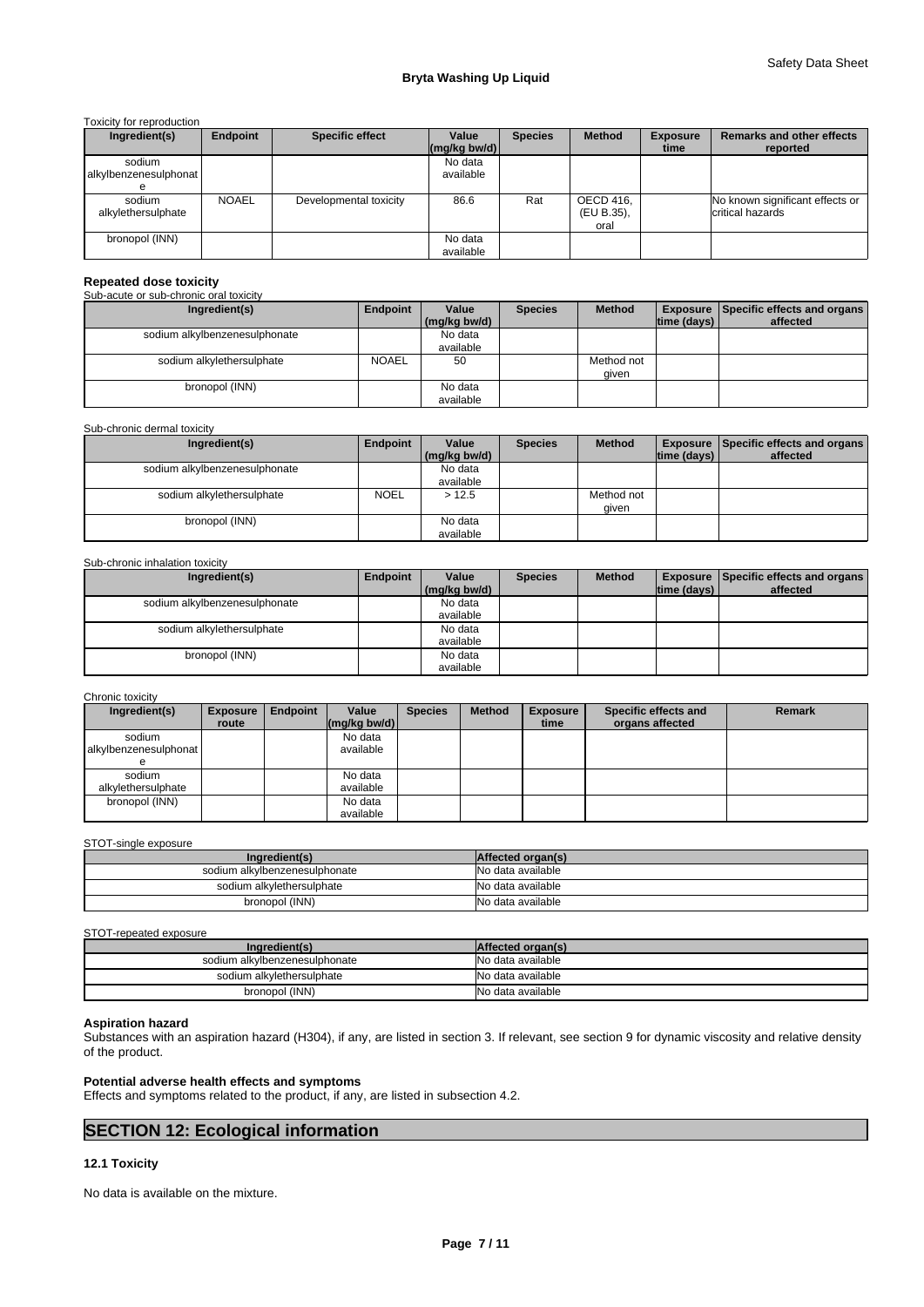Toxicity for reproduction

| Ingredient(s)                   | Endpoint     | <b>Specific effect</b> | Value<br>$\left \frac{\text{mg}}{\text{kg}}\right $ | <b>Species</b> | <b>Method</b>                   | <b>Exposure</b><br>time | <b>Remarks and other effects</b><br>reported        |
|---------------------------------|--------------|------------------------|-----------------------------------------------------|----------------|---------------------------------|-------------------------|-----------------------------------------------------|
| sodium<br>alkylbenzenesulphonat |              |                        | No data<br>available                                |                |                                 |                         |                                                     |
| sodium<br>alkylethersulphate    | <b>NOAEL</b> | Developmental toxicity | 86.6                                                | Rat            | OECD 416,<br>(EU B.35),<br>oral |                         | No known significant effects or<br>critical hazards |
| bronopol (INN)                  |              |                        | No data<br>available                                |                |                                 |                         |                                                     |

# **Repeated dose toxicity**

Sub-acute or sub-chronic oral toxicity

| Ingredient(s)                 | Endpoint     | Value        | <b>Species</b> | <b>Method</b> |             | <b>Exposure Specific effects and organs</b> |
|-------------------------------|--------------|--------------|----------------|---------------|-------------|---------------------------------------------|
|                               |              | (mg/kg bw/d) |                |               | time (days) | affected                                    |
| sodium alkylbenzenesulphonate |              | No data      |                |               |             |                                             |
|                               |              | available    |                |               |             |                                             |
| sodium alkylethersulphate     | <b>NOAEL</b> | 50           |                | Method not    |             |                                             |
|                               |              |              |                | given         |             |                                             |
| bronopol (INN)                |              | No data      |                |               |             |                                             |
|                               |              | available    |                |               |             |                                             |

#### Sub-chronic dermal toxicity

| Ingredient(s)                 | Endpoint    | Value        | <b>Species</b> | <b>Method</b> |             | <b>Exposure   Specific effects and organs  </b> |
|-------------------------------|-------------|--------------|----------------|---------------|-------------|-------------------------------------------------|
|                               |             | (mg/kg bw/d) |                |               | time (days) | affected                                        |
| sodium alkylbenzenesulphonate |             | No data      |                |               |             |                                                 |
|                               |             | available    |                |               |             |                                                 |
| sodium alkylethersulphate     | <b>NOEL</b> | >12.5        |                | Method not    |             |                                                 |
|                               |             |              |                | given         |             |                                                 |
| bronopol (INN)                |             | No data      |                |               |             |                                                 |
|                               |             | available    |                |               |             |                                                 |

#### Sub-chronic inhalation toxicity

| Ingredient(s)                 | Endpoint | Value        | <b>Species</b> | <b>Method</b> |                    | <b>Exposure   Specific effects and organs  </b> |
|-------------------------------|----------|--------------|----------------|---------------|--------------------|-------------------------------------------------|
|                               |          | (mg/kg bw/d) |                |               | $ time$ (days) $ $ | affected                                        |
| sodium alkylbenzenesulphonate |          | No data      |                |               |                    |                                                 |
|                               |          | available    |                |               |                    |                                                 |
| sodium alkylethersulphate     |          | No data      |                |               |                    |                                                 |
|                               |          | available    |                |               |                    |                                                 |
| bronopol (INN)                |          | No data      |                |               |                    |                                                 |
|                               |          | available    |                |               |                    |                                                 |

#### Chronic toxicity

| Ingredient(s)         | <b>Exposure</b> | Endpoint | Value                                      | <b>Species</b> | <b>Method</b> | <b>Exposure</b> | Specific effects and | <b>Remark</b> |
|-----------------------|-----------------|----------|--------------------------------------------|----------------|---------------|-----------------|----------------------|---------------|
|                       | route           |          | $\left \frac{\text{mg}}{\text{kg}}\right $ |                |               | time            | organs affected      |               |
| sodium                |                 |          | No data                                    |                |               |                 |                      |               |
| alkylbenzenesulphonat |                 |          | available                                  |                |               |                 |                      |               |
|                       |                 |          |                                            |                |               |                 |                      |               |
| sodium                |                 |          | No data                                    |                |               |                 |                      |               |
| alkylethersulphate    |                 |          | available                                  |                |               |                 |                      |               |
| bronopol (INN)        |                 |          | No data                                    |                |               |                 |                      |               |
|                       |                 |          | available                                  |                |               |                 |                      |               |

# STOT-single exposure

| Ingredient(s)                 | Affected organ(s) |
|-------------------------------|-------------------|
| sodium alkylbenzenesulphonate | No data available |
| sodium alkylethersulphate     | No data available |
| bronopol (INN)                | No data available |

# STOT-repeated exposure

| Ingredient(s)                 | Affected organ(s) |
|-------------------------------|-------------------|
| sodium alkylbenzenesulphonate | No data available |
| sodium alkylethersulphate     | No data available |
| bronopol (INN)                | No data available |

#### **Aspiration hazard**

Substances with an aspiration hazard (H304), if any, are listed in section 3. If relevant, see section 9 for dynamic viscosity and relative density of the product.

# **Potential adverse health effects and symptoms**

Effects and symptoms related to the product, if any, are listed in subsection 4.2.

# **SECTION 12: Ecological information**

# **12.1 Toxicity**

No data is available on the mixture.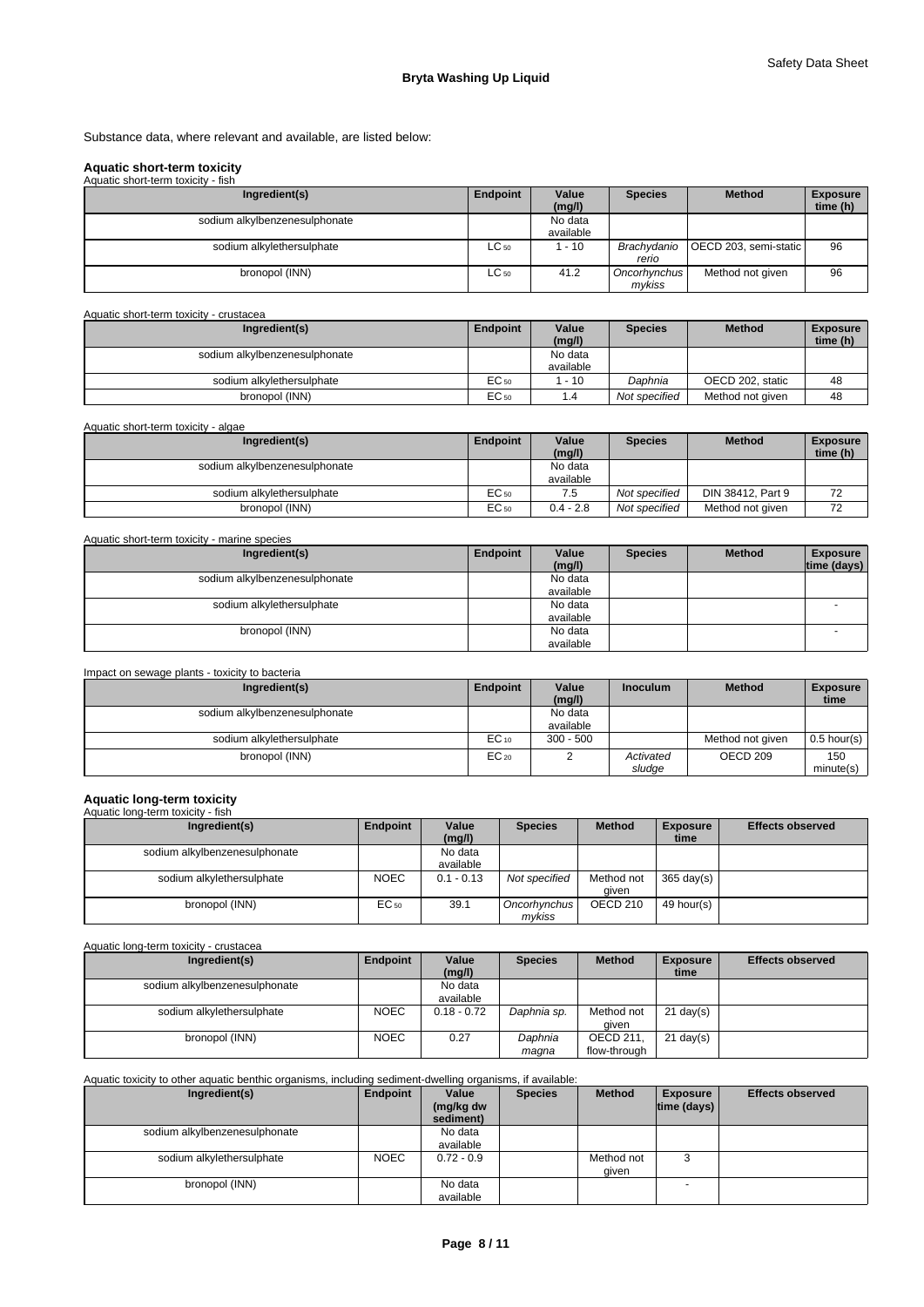Substance data, where relevant and available, are listed below:

# **Aquatic short-term toxicity**

| Aquatic short-term toxicity - fish |           |                      |                        |                                     |                             |
|------------------------------------|-----------|----------------------|------------------------|-------------------------------------|-----------------------------|
| Ingredient(s)                      | Endpoint  | Value<br>(mg/l)      | <b>Species</b>         | <b>Method</b>                       | <b>Exposure</b><br>time (h) |
| sodium alkylbenzenesulphonate      |           | No data<br>available |                        |                                     |                             |
| sodium alkylethersulphate          | $LC_{50}$ | $1 - 10$             | rerio                  | Brachydanio   OECD 203, semi-static | 96                          |
| bronopol (INN)                     | $LC_{50}$ | 41.2                 | Oncorhynchus<br>mvkiss | Method not given                    | 96                          |

# Aquatic short-term toxicity - crustacea

| Ingredient(s)                 | Endpoint | Value<br>(mg/l) | <b>Species</b> | <b>Method</b>    | <b>Exposure</b><br>time (h) |
|-------------------------------|----------|-----------------|----------------|------------------|-----------------------------|
| sodium alkylbenzenesulphonate |          | No data         |                |                  |                             |
|                               |          | available       |                |                  |                             |
| sodium alkylethersulphate     | EC 50    | $-10$           | Daphnia        | OECD 202, static | 48                          |
| bronopol (INN)                | EC 50    |                 | Not specified  | Method not given | 48                          |

Aquatic short-term toxicity - algae

| Ingredient(s)                 | Endpoint | Value       | <b>Species</b> | <b>Method</b>     | <b>Exposure</b> |
|-------------------------------|----------|-------------|----------------|-------------------|-----------------|
|                               |          | (mq/l)      |                |                   | time (h)        |
| sodium alkylbenzenesulphonate |          | No data     |                |                   |                 |
|                               |          | available   |                |                   |                 |
| sodium alkylethersulphate     | EC 50    |             | Not specified  | DIN 38412, Part 9 | 72              |
| bronopol (INN)                | EC 50    | $0.4 - 2.8$ | Not specified  | Method not given  | 72              |

| Endpoint | Value     | <b>Species</b> | <b>Method</b> | <b>Exposure</b> |
|----------|-----------|----------------|---------------|-----------------|
|          |           |                |               | time (days)     |
|          | No data   |                |               |                 |
|          | available |                |               |                 |
|          | No data   |                |               |                 |
|          | available |                |               |                 |
|          | No data   |                |               |                 |
|          | available |                |               |                 |
|          |           | (mg/l)         |               |                 |

#### Impact on sewage plants - toxicity to bacteria

| Ingredient(s)                 | Endpoint  | Value       | <b>Inoculum</b> | <b>Method</b>    | <b>Exposure</b> |
|-------------------------------|-----------|-------------|-----------------|------------------|-----------------|
|                               |           | (mg/l)      |                 |                  | time            |
| sodium alkylbenzenesulphonate |           | No data     |                 |                  |                 |
|                               |           | available   |                 |                  |                 |
| sodium alkylethersulphate     | $EC_{10}$ | $300 - 500$ |                 | Method not given | $0.5$ hour(s)   |
| bronopol (INN)                | $EC_{20}$ |             | Activated       | OECD 209         | 150             |
|                               |           |             | sludge          |                  | minute(s)       |

# **Aquatic long-term toxicity** Aquatic long-term toxicity - fish

| Ingredient(s)                 | Endpoint    | Value        | <b>Species</b> | <b>Method</b> | <b>Exposure</b>      | <b>Effects observed</b> |
|-------------------------------|-------------|--------------|----------------|---------------|----------------------|-------------------------|
|                               |             | (mg/l)       |                |               | time                 |                         |
| sodium alkylbenzenesulphonate |             | No data      |                |               |                      |                         |
|                               |             | available    |                |               |                      |                         |
| sodium alkylethersulphate     | <b>NOEC</b> | $0.1 - 0.13$ | Not specified  | Method not    | $365 \text{ day(s)}$ |                         |
|                               |             |              |                | aiven         |                      |                         |
| bronopol (INN)                | $EC_{50}$   | 39.1         | Oncorhynchus   | OECD 210      | 49 hour(s)           |                         |
|                               |             |              | mvkiss         |               |                      |                         |

Aquatic long-term toxicity - crustacea

| Ingredient(s)                 | Endpoint    | Value         | <b>Species</b> | <b>Method</b>    | <b>Exposure</b>     | <b>Effects observed</b> |
|-------------------------------|-------------|---------------|----------------|------------------|---------------------|-------------------------|
|                               |             | (mg/l)        |                |                  | time                |                         |
| sodium alkylbenzenesulphonate |             | No data       |                |                  |                     |                         |
|                               |             | available     |                |                  |                     |                         |
| sodium alkylethersulphate     | <b>NOEC</b> | $0.18 - 0.72$ | Daphnia sp.    | Method not       | $21 \text{ day}(s)$ |                         |
|                               |             |               |                | aiven            |                     |                         |
| bronopol (INN)                | <b>NOEC</b> | 0.27          | Daphnia        | <b>OECD 211.</b> | $21 \text{ day}(s)$ |                         |
|                               |             |               | maqna          | flow-through     |                     |                         |

# Aquatic toxicity to other aquatic benthic organisms, including sediment-dwelling organisms, if available:

| Ingredient(s)                 | Endpoint    | Value<br>(mg/kg dw<br>sediment) | <b>Species</b> | <b>Method</b>       | <b>Exposure</b><br> time (days) | <b>Effects observed</b> |
|-------------------------------|-------------|---------------------------------|----------------|---------------------|---------------------------------|-------------------------|
| sodium alkylbenzenesulphonate |             | No data<br>available            |                |                     |                                 |                         |
| sodium alkylethersulphate     | <b>NOEC</b> | $0.72 - 0.9$                    |                | Method not<br>qiven | 3                               |                         |
| bronopol (INN)                |             | No data<br>available            |                |                     | <b>.</b>                        |                         |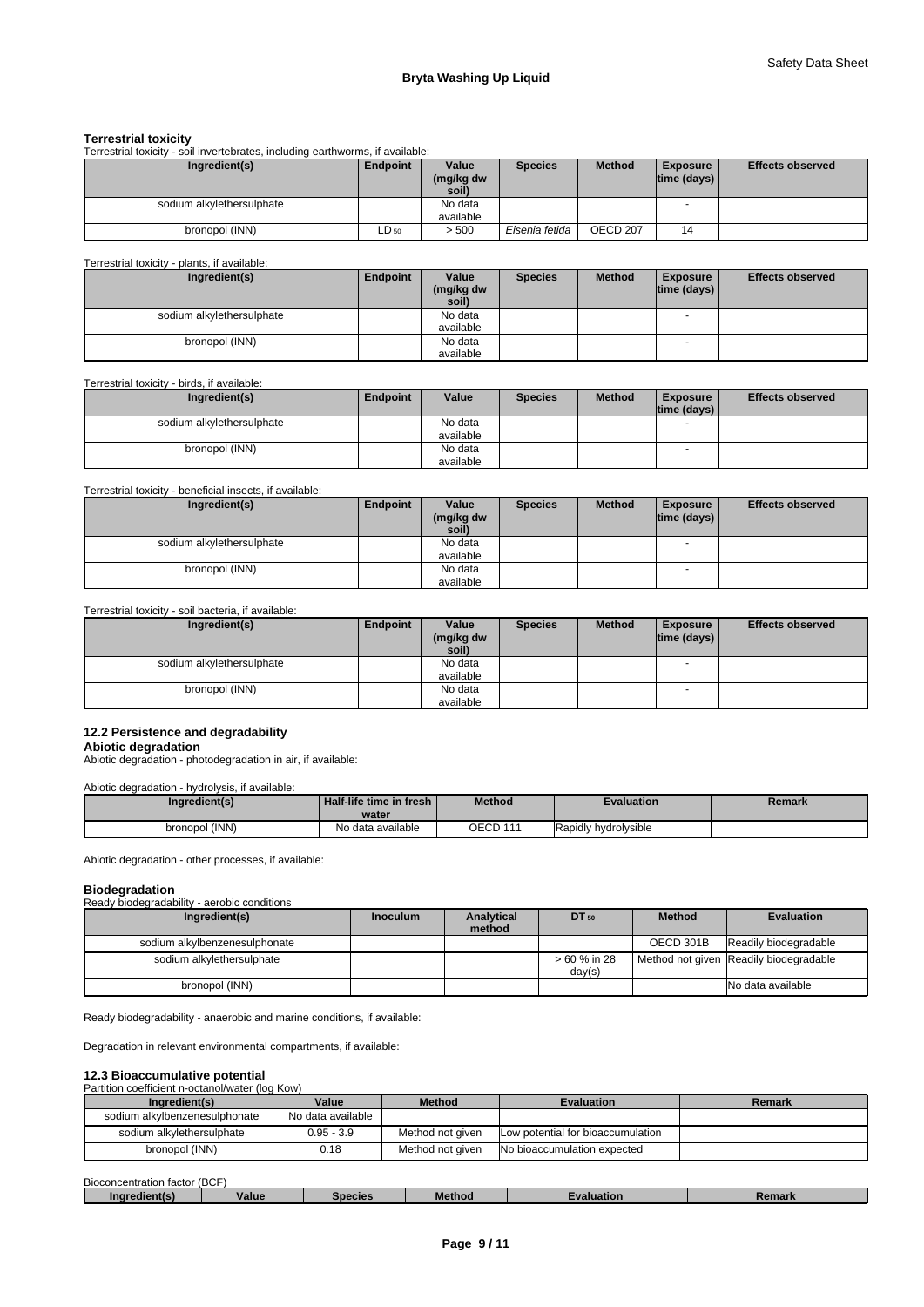### **Terrestrial toxicity**

Terrestrial toxicity - soil invertebrates, including earthworms, if available:

| Ingredient(s)             | <b>Endpoint</b> | Value<br>(mg/kg dw<br>soil) | <b>Species</b> | <b>Method</b> | Exposure<br>$ time$ (days) $ $ | <b>Effects observed</b> |
|---------------------------|-----------------|-----------------------------|----------------|---------------|--------------------------------|-------------------------|
| sodium alkylethersulphate |                 | No data<br>available        |                |               |                                |                         |
| bronopol (INN)            | $LD_{50}$       | > 500                       | Eisenia fetida | OECD 207      | 14                             |                         |

#### Terrestrial toxicity - plants, if available:

| Ingredient(s)             | Endpoint | Value              | <b>Species</b> | <b>Method</b> | <b>Exposure</b> | <b>Effects observed</b> |
|---------------------------|----------|--------------------|----------------|---------------|-----------------|-------------------------|
|                           |          | (mg/kg dw<br>soil) |                |               | time (days)     |                         |
| sodium alkylethersulphate |          | No data            |                |               |                 |                         |
|                           |          | available          |                |               |                 |                         |
| bronopol (INN)            |          | No data            |                |               | $\sim$          |                         |
|                           |          | available          |                |               |                 |                         |

# Terrestrial toxicity - birds, if available:

| Ingredient(s)             | <b>Endpoint</b> | Value     | <b>Species</b> | <b>Method</b> | <b>Exposure</b><br>time (days) | <b>Effects observed</b> |
|---------------------------|-----------------|-----------|----------------|---------------|--------------------------------|-------------------------|
|                           |                 |           |                |               |                                |                         |
| sodium alkylethersulphate |                 | No data   |                |               |                                |                         |
|                           |                 | available |                |               |                                |                         |
| bronopol (INN)            |                 | No data   |                |               |                                |                         |
|                           |                 | available |                |               |                                |                         |

## Terrestrial toxicity - beneficial insects, if available:

| Ingredient(s)             | Endpoint | Value     | <b>Species</b> | <b>Method</b> | <b>Exposure</b>    | <b>Effects observed</b> |
|---------------------------|----------|-----------|----------------|---------------|--------------------|-------------------------|
|                           |          | (mg/kg dw |                |               | $ time$ (days) $ $ |                         |
|                           |          | soil)     |                |               |                    |                         |
| sodium alkylethersulphate |          | No data   |                |               |                    |                         |
|                           |          | available |                |               |                    |                         |
| bronopol (INN)            |          | No data   |                |               |                    |                         |
|                           |          | available |                |               |                    |                         |

### Terrestrial toxicity - soil bacteria, if available:

| Ingredient(s)             | Endpoint | Value<br>(mg/kg dw<br>soil) | <b>Species</b> | <b>Method</b> | <b>Exposure</b><br>$ time$ (days) $ $ | <b>Effects observed</b> |
|---------------------------|----------|-----------------------------|----------------|---------------|---------------------------------------|-------------------------|
| sodium alkylethersulphate |          | No data                     |                |               | $\overline{\phantom{a}}$              |                         |
|                           |          | available                   |                |               |                                       |                         |
| bronopol (INN)            |          | No data                     |                |               |                                       |                         |
|                           |          | available                   |                |               |                                       |                         |

# **12.2 Persistence and degradability**

**Abiotic degradation** Abiotic degradation - photodegradation in air, if available:

## Abiotic degradation - hydrolysis, if available:

| Ingredient(s)  | <sup>1</sup> Half-life time in fresh <b>i</b><br>water | <b>Method</b> | Evaluation           | Remark |
|----------------|--------------------------------------------------------|---------------|----------------------|--------|
| bronopol (INN) | No data available                                      | OECD 111      | Rapidly hydrolysible |        |

Abiotic degradation - other processes, if available:

#### **Biodegradation** Ready biodegradability - aerobic conditions

| Ready blouegiagability - aerobic conditions |                 |                      |              |               |                                        |
|---------------------------------------------|-----------------|----------------------|--------------|---------------|----------------------------------------|
| Ingredient(s)                               | <b>Inoculum</b> | Analytical<br>method | $DT_{50}$    | <b>Method</b> | <b>Evaluation</b>                      |
|                                             |                 |                      |              |               |                                        |
| sodium alkylbenzenesulphonate               |                 |                      |              | OECD 301B     | Readily biodegradable                  |
| sodium alkylethersulphate                   |                 |                      | > 60 % in 28 |               | Method not given Readily biodegradable |
|                                             |                 |                      | day(s)       |               |                                        |
| bronopol (INN)                              |                 |                      |              |               | No data available                      |

Ready biodegradability - anaerobic and marine conditions, if available:

Degradation in relevant environmental compartments, if available:

## **12.3 Bioaccumulative potential**

#### Partition coefficient n-octanol/water (log Kow)

| Ingredient(s)                 | Value             | <b>Method</b>    | <b>Evaluation</b>                 | Remark |
|-------------------------------|-------------------|------------------|-----------------------------------|--------|
| sodium alkylbenzenesulphonate | No data available |                  |                                   |        |
| sodium alkvlethersulphate     | $0.95 - 3.9$      | Method not given | Low potential for bioaccumulation |        |
| bronopol (INN)                | 0.18              | Method not aiven | No bioaccumulation expected       |        |

| - -<br>Biocon<br>ncentration factor / | . (BCF |         |        |            |                   |
|---------------------------------------|--------|---------|--------|------------|-------------------|
| …dient/⊤                              | Value  | Species | Method | valuation. | Damark<br>kemark. |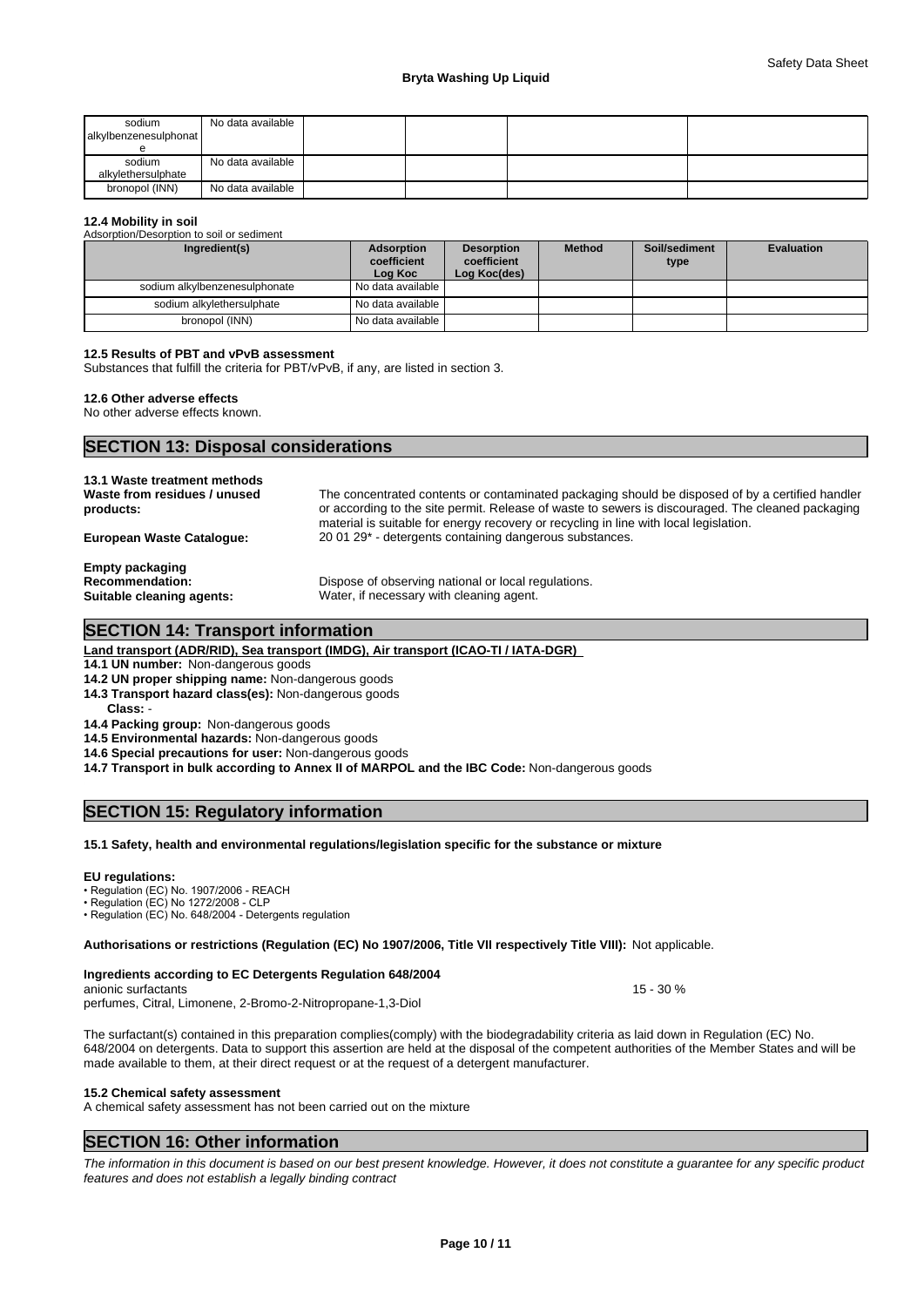| sodium<br>alkylbenzenesulphonat | No data available |  |  |
|---------------------------------|-------------------|--|--|
| sodium<br>alkylethersulphate    | No data available |  |  |
| bronopol (INN)                  | No data available |  |  |

#### **12.4 Mobility in soil**

Adsorption/Desorption to soil or sediment

| Ingredient(s)                 | Adsorption<br>coefficient<br>Log Koc | <b>Desorption</b><br>coefficient<br>Log Koc(des) | <b>Method</b> | Soil/sediment<br>type | <b>Evaluation</b> |
|-------------------------------|--------------------------------------|--------------------------------------------------|---------------|-----------------------|-------------------|
| sodium alkylbenzenesulphonate | No data available I                  |                                                  |               |                       |                   |
| sodium alkvlethersulphate     | No data available                    |                                                  |               |                       |                   |
| bronopol (INN)                | No data available                    |                                                  |               |                       |                   |

# **12.5 Results of PBT and vPvB assessment**

Substances that fulfill the criteria for PBT/vPvB, if any, are listed in section 3.

## **12.6 Other adverse effects**

No other adverse effects known.

# **SECTION 13: Disposal considerations**

| 13.1 Waste treatment methods<br>Waste from residues / unused<br>products:     | The concentrated contents or contaminated packaging should be disposed of by a certified handler<br>or according to the site permit. Release of waste to sewers is discouraged. The cleaned packaging<br>material is suitable for energy recovery or recycling in line with local legislation. |
|-------------------------------------------------------------------------------|------------------------------------------------------------------------------------------------------------------------------------------------------------------------------------------------------------------------------------------------------------------------------------------------|
| <b>European Waste Catalogue:</b>                                              | 20 01 29 <sup>*</sup> - detergents containing dangerous substances.                                                                                                                                                                                                                            |
| <b>Empty packaging</b><br><b>Recommendation:</b><br>Suitable cleaning agents: | Dispose of observing national or local regulations.<br>Water, if necessary with cleaning agent.                                                                                                                                                                                                |

# **SECTION 14: Transport information**

# **Land transport (ADR/RID), Sea transport (IMDG), Air transport (ICAO-TI / IATA-DGR)**

**14.1 UN number:** Non-dangerous goods

# **14.2 UN proper shipping name:** Non-dangerous goods

**14.3 Transport hazard class(es):** Non-dangerous goods

**Class:** -

# **14.4 Packing group:** Non-dangerous goods

**14.5 Environmental hazards:** Non-dangerous goods

**14.6 Special precautions for user:** Non-dangerous goods

**14.7 Transport in bulk according to Annex II of MARPOL and the IBC Code:** Non-dangerous goods

# **SECTION 15: Regulatory information**

#### **15.1 Safety, health and environmental regulations/legislation specific for the substance or mixture**

**EU regulations:**<br>• Regulation (EC) No. 1907/2006 - REACH

• Regulation (EC) No 1272/2008 - CLP

• Regulation (EC) No. 648/2004 - Detergents regulation

#### **Authorisations or restrictions (Regulation (EC) No 1907/2006, Title VII respectively Title VIII):** Not applicable.

**Ingredients according to EC Detergents Regulation 648/2004** anionic surfactants **15 - 30** % perfumes, Citral, Limonene, 2-Bromo-2-Nitropropane-1,3-Diol

The surfactant(s) contained in this preparation complies(comply) with the biodegradability criteria as laid down in Regulation (EC) No. 648/2004 on detergents. Data to support this assertion are held at the disposal of the competent authorities of the Member States and will be made available to them, at their direct request or at the request of a detergent manufacturer.

#### **15.2 Chemical safety assessment**

A chemical safety assessment has not been carried out on the mixture

# **SECTION 16: Other information**

*The information in this document is based on our best present knowledge. However, it does not constitute a guarantee for any specific product features and does not establish a legally binding contract*